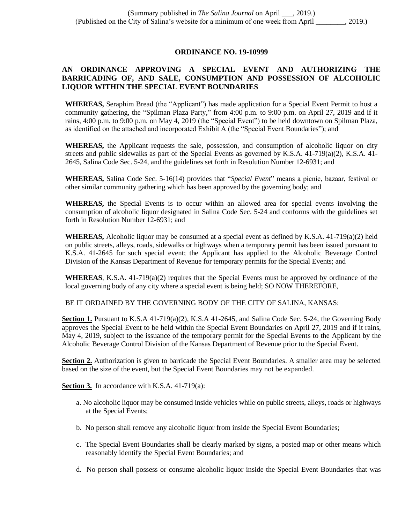## **ORDINANCE NO. 19-10999**

## **AN ORDINANCE APPROVING A SPECIAL EVENT AND AUTHORIZING THE BARRICADING OF, AND SALE, CONSUMPTION AND POSSESSION OF ALCOHOLIC LIQUOR WITHIN THE SPECIAL EVENT BOUNDARIES**

**WHEREAS,** Seraphim Bread (the "Applicant") has made application for a Special Event Permit to host a community gathering, the "Spilman Plaza Party," from 4:00 p.m. to 9:00 p.m. on April 27, 2019 and if it rains, 4:00 p.m. to 9:00 p.m. on May 4, 2019 (the "Special Event") to be held downtown on Spilman Plaza, as identified on the attached and incorporated Exhibit A (the "Special Event Boundaries"); and

**WHEREAS,** the Applicant requests the sale, possession, and consumption of alcoholic liquor on city streets and public sidewalks as part of the Special Events as governed by K.S.A.  $41-719(a)(2)$ , K.S.A.  $41-$ 2645, Salina Code Sec. 5-24, and the guidelines set forth in Resolution Number 12-6931; and

**WHEREAS,** Salina Code Sec. 5-16(14) provides that "*Special Event*" means a picnic, bazaar, festival or other similar community gathering which has been approved by the governing body; and

**WHEREAS,** the Special Events is to occur within an allowed area for special events involving the consumption of alcoholic liquor designated in Salina Code Sec. 5-24 and conforms with the guidelines set forth in Resolution Number 12-6931; and

**WHEREAS,** Alcoholic liquor may be consumed at a special event as defined by K.S.A. 41-719(a)(2) held on public streets, alleys, roads, sidewalks or highways when a temporary permit has been issued pursuant to K.S.A. 41-2645 for such special event; the Applicant has applied to the Alcoholic Beverage Control Division of the Kansas Department of Revenue for temporary permits for the Special Events; and

**WHEREAS**, K.S.A. 41-719(a)(2) requires that the Special Events must be approved by ordinance of the local governing body of any city where a special event is being held; SO NOW THEREFORE,

BE IT ORDAINED BY THE GOVERNING BODY OF THE CITY OF SALINA, KANSAS:

**Section 1.** Pursuant to K.S.A 41-719(a)(2), K.S.A 41-2645, and Salina Code Sec. 5-24, the Governing Body approves the Special Event to be held within the Special Event Boundaries on April 27, 2019 and if it rains, May 4, 2019, subject to the issuance of the temporary permit for the Special Events to the Applicant by the Alcoholic Beverage Control Division of the Kansas Department of Revenue prior to the Special Event.

**Section 2.** Authorization is given to barricade the Special Event Boundaries. A smaller area may be selected based on the size of the event, but the Special Event Boundaries may not be expanded.

**Section 3.** In accordance with K.S.A. 41-719(a):

- a. No alcoholic liquor may be consumed inside vehicles while on public streets, alleys, roads or highways at the Special Events;
- b. No person shall remove any alcoholic liquor from inside the Special Event Boundaries;
- c. The Special Event Boundaries shall be clearly marked by signs, a posted map or other means which reasonably identify the Special Event Boundaries; and
- d. No person shall possess or consume alcoholic liquor inside the Special Event Boundaries that was